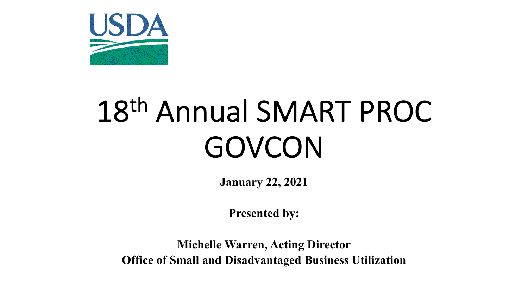

# 18th Annual SMART PROC GOVCON

**January 22, 2021**

**Presented by:**

**Michelle Warren, Acting Director Office of Small and Disadvantaged Business Utilization**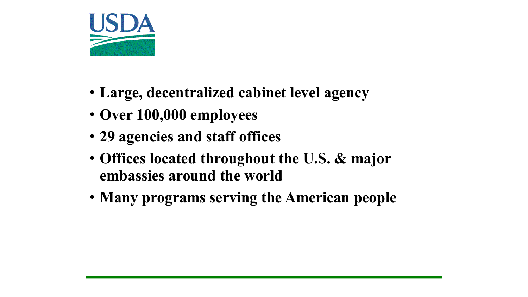

- **Large, decentralized cabinet level agency**
- **Over 100,000 employees**
- **29 agencies and staff offices**
- **Offices located throughout the U.S. & major embassies around the world**
- **Many programs serving the American people**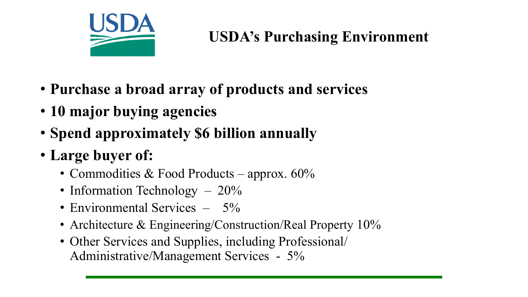

#### **USDA's Purchasing Environment**

- **Purchase a broad array of products and services**
- **10 major buying agencies**
- **Spend approximately \$6 billion annually**
- **Large buyer of:**
	- Commodities & Food Products approx. 60%
	- Information Technology 20%
	- Environmental Services 5%
	- Architecture & Engineering/Construction/Real Property 10%
	- Other Services and Supplies, including Professional/ Administrative/Management Services - 5%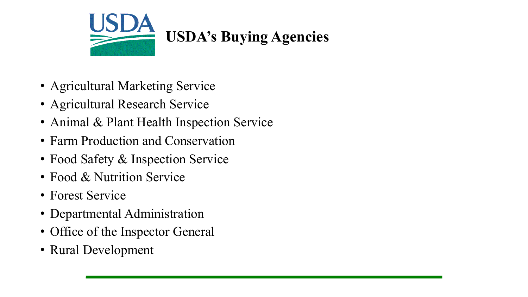

- Agricultural Marketing Service
- Agricultural Research Service
- Animal & Plant Health Inspection Service
- Farm Production and Conservation
- Food Safety & Inspection Service
- Food & Nutrition Service
- Forest Service
- Departmental Administration
- Office of the Inspector General
- Rural Development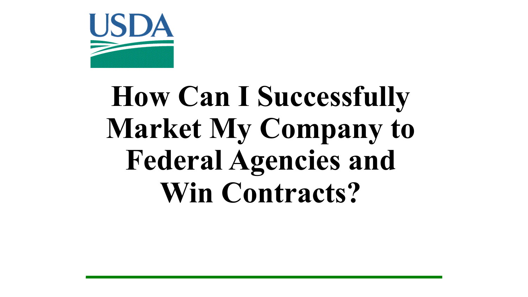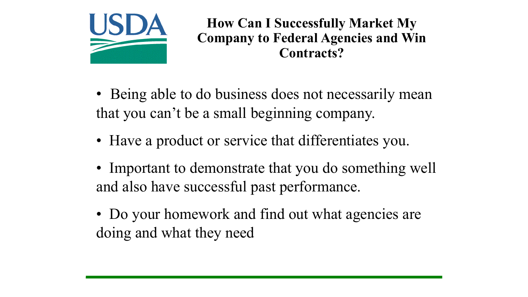

• Being able to do business does not necessarily mean that you can't be a small beginning company.

- Have a product or service that differentiates you.
- Important to demonstrate that you do something well and also have successful past performance.
- Do your homework and find out what agencies are doing and what they need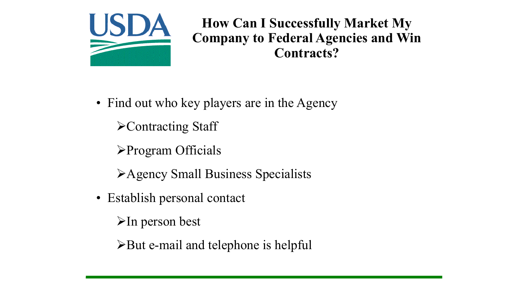

- Find out who key players are in the Agency ØContracting Staff ØProgram Officials
	- ØAgency Small Business Specialists
- Establish personal contact
	- $\triangleright$ In person best
	- $\triangleright$  But e-mail and telephone is helpful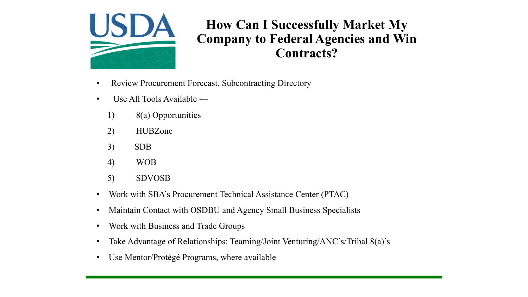

- Review Procurement Forecast, Subcontracting Directory
- Use All Tools Available ---
	- 1) 8(a) Opportunities
	- 2) HUBZone
	- 3) SDB
	- 4) WOB
	- 5) SDVOSB
- Work with SBA's Procurement Technical Assistance Center (PTAC)
- Maintain Contact with OSDBU and Agency Small Business Specialists
- Work with Business and Trade Groups
- Take Advantage of Relationships: Teaming/Joint Venturing/ANC's/Tribal 8(a)'s
- Use Mentor/Protégé Programs, where available